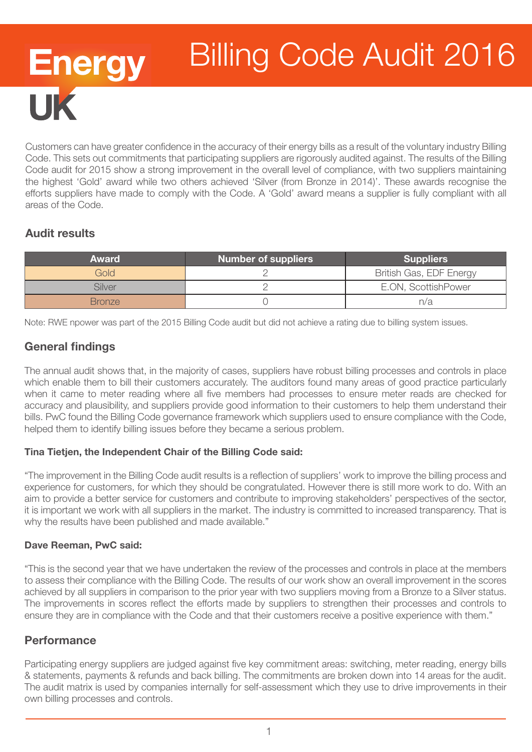# Energy<br>UK Billing Code Audit 2016

Customers can have greater confidence in the accuracy of their energy bills as a result of the voluntary industry Billing Code. This sets out commitments that participating suppliers are rigorously audited against. The results of the Billing Code audit for 2015 show a strong improvement in the overall level of compliance, with two suppliers maintaining the highest 'Gold' award while two others achieved 'Silver (from Bronze in 2014)'. These awards recognise the efforts suppliers have made to comply with the Code. A 'Gold' award means a supplier is fully compliant with all areas of the Code.

## Audit results

| <b>Award</b>  | Number of suppliers | <b>Suppliers</b>        |
|---------------|---------------------|-------------------------|
| Gold          |                     | British Gas, EDF Energy |
| Silver        |                     | E.ON, ScottishPower     |
| <b>Bronze</b> |                     | n/a                     |

Note: RWE npower was part of the 2015 Billing Code audit but did not achieve a rating due to billing system issues.

## General findings

The annual audit shows that, in the majority of cases, suppliers have robust billing processes and controls in place which enable them to bill their customers accurately. The auditors found many areas of good practice particularly when it came to meter reading where all five members had processes to ensure meter reads are checked for accuracy and plausibility, and suppliers provide good information to their customers to help them understand their bills. PwC found the Billing Code governance framework which suppliers used to ensure compliance with the Code, helped them to identify billing issues before they became a serious problem.

#### Tina Tietjen, the Independent Chair of the Billing Code said:

"The improvement in the Billing Code audit results is a reflection of suppliers' work to improve the billing process and experience for customers, for which they should be congratulated. However there is still more work to do. With an aim to provide a better service for customers and contribute to improving stakeholders' perspectives of the sector, it is important we work with all suppliers in the market. The industry is committed to increased transparency. That is why the results have been published and made available."

#### Dave Reeman, PwC said:

"This is the second year that we have undertaken the review of the processes and controls in place at the members to assess their compliance with the Billing Code. The results of our work show an overall improvement in the scores achieved by all suppliers in comparison to the prior year with two suppliers moving from a Bronze to a Silver status. The improvements in scores reflect the efforts made by suppliers to strengthen their processes and controls to ensure they are in compliance with the Code and that their customers receive a positive experience with them."

## **Performance**

Participating energy suppliers are judged against five key commitment areas: switching, meter reading, energy bills & statements, payments & refunds and back billing. The commitments are broken down into 14 areas for the audit. The audit matrix is used by companies internally for self-assessment which they use to drive improvements in their own billing processes and controls.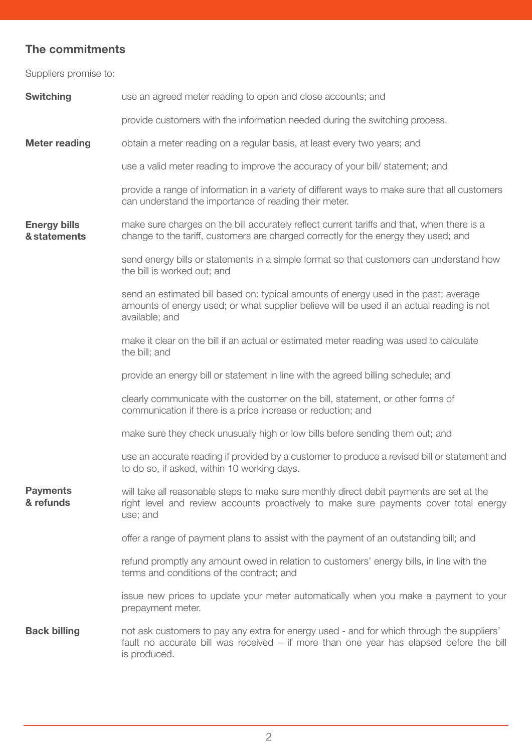## The commitments

Suppliers promise to:

| <b>Switching</b>                    | use an agreed meter reading to open and close accounts; and                                                                                                                                          |  |
|-------------------------------------|------------------------------------------------------------------------------------------------------------------------------------------------------------------------------------------------------|--|
|                                     | provide customers with the information needed during the switching process.                                                                                                                          |  |
| <b>Meter reading</b>                | obtain a meter reading on a regular basis, at least every two years; and                                                                                                                             |  |
|                                     | use a valid meter reading to improve the accuracy of your bill/ statement; and                                                                                                                       |  |
|                                     | provide a range of information in a variety of different ways to make sure that all customers<br>can understand the importance of reading their meter.                                               |  |
| <b>Energy bills</b><br>& statements | make sure charges on the bill accurately reflect current tariffs and that, when there is a<br>change to the tariff, customers are charged correctly for the energy they used; and                    |  |
|                                     | send energy bills or statements in a simple format so that customers can understand how<br>the bill is worked out; and                                                                               |  |
|                                     | send an estimated bill based on: typical amounts of energy used in the past; average<br>amounts of energy used; or what supplier believe will be used if an actual reading is not<br>available; and  |  |
|                                     | make it clear on the bill if an actual or estimated meter reading was used to calculate<br>the bill; and                                                                                             |  |
|                                     | provide an energy bill or statement in line with the agreed billing schedule; and                                                                                                                    |  |
|                                     | clearly communicate with the customer on the bill, statement, or other forms of<br>communication if there is a price increase or reduction; and                                                      |  |
|                                     | make sure they check unusually high or low bills before sending them out; and                                                                                                                        |  |
|                                     | use an accurate reading if provided by a customer to produce a revised bill or statement and<br>to do so, if asked, within 10 working days.                                                          |  |
| <b>Payments</b><br>& refunds        | will take all reasonable steps to make sure monthly direct debit payments are set at the<br>right level and review accounts proactively to make sure payments cover total energy<br>use; and         |  |
|                                     | offer a range of payment plans to assist with the payment of an outstanding bill; and                                                                                                                |  |
|                                     | refund promptly any amount owed in relation to customers' energy bills, in line with the<br>terms and conditions of the contract; and                                                                |  |
|                                     | issue new prices to update your meter automatically when you make a payment to your<br>prepayment meter.                                                                                             |  |
| <b>Back billing</b>                 | not ask customers to pay any extra for energy used - and for which through the suppliers'<br>fault no accurate bill was received – if more than one year has elapsed before the bill<br>is produced. |  |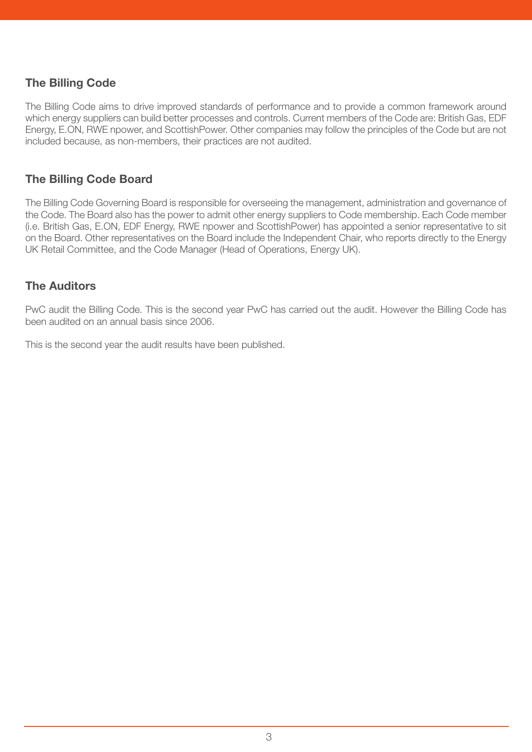## The Billing Code

The Billing Code aims to drive improved standards of performance and to provide a common framework around which energy suppliers can build better processes and controls. Current members of the Code are: British Gas, EDF Energy, E.ON, RWE npower, and ScottishPower. Other companies may follow the principles of the Code but are not included because, as non-members, their practices are not audited.

## The Billing Code Board

The Billing Code Governing Board is responsible for overseeing the management, administration and governance of the Code. The Board also has the power to admit other energy suppliers to Code membership. Each Code member (i.e. British Gas, E.ON, EDF Energy, RWE npower and ScottishPower) has appointed a senior representative to sit on the Board. Other representatives on the Board include the Independent Chair, who reports directly to the Energy UK Retail Committee, and the Code Manager (Head of Operations, Energy UK).

## The Auditors

PwC audit the Billing Code. This is the second year PwC has carried out the audit. However the Billing Code has been audited on an annual basis since 2006.

This is the second year the audit results have been published.